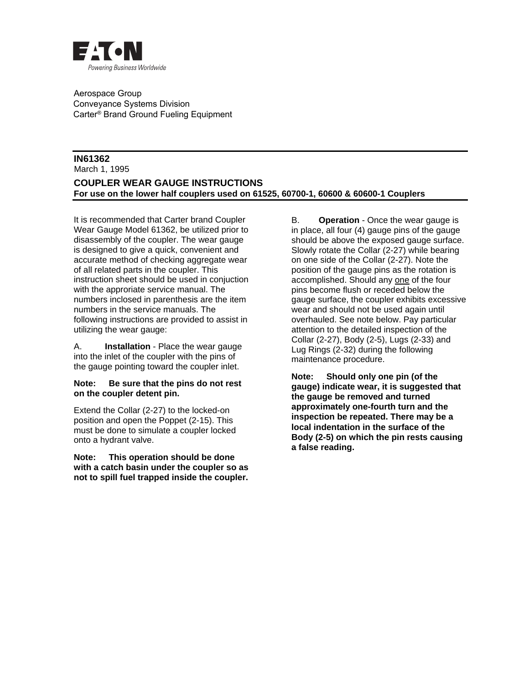

 Aerospace Group Conveyance Systems Division Carter® Brand Ground Fueling Equipment

## **IN61362**  March 1, 1995

**COUPLER WEAR GAUGE INSTRUCTIONS For use on the lower half couplers used on 61525, 60700-1, 60600 & 60600-1 Couplers** 

It is recommended that Carter brand Coupler Wear Gauge Model 61362, be utilized prior to disassembly of the coupler. The wear gauge is designed to give a quick, convenient and accurate method of checking aggregate wear of all related parts in the coupler. This instruction sheet should be used in conjuction with the approriate service manual. The numbers inclosed in parenthesis are the item numbers in the service manuals. The following instructions are provided to assist in utilizing the wear gauge:

A. **Installation** - Place the wear gauge into the inlet of the coupler with the pins of the gauge pointing toward the coupler inlet.

## **Note: Be sure that the pins do not rest on the coupler detent pin.**

Extend the Collar (2-27) to the locked-on position and open the Poppet (2-15). This must be done to simulate a coupler locked onto a hydrant valve.

**Note: This operation should be done with a catch basin under the coupler so as not to spill fuel trapped inside the coupler.** B. **Operation** - Once the wear gauge is in place, all four (4) gauge pins of the gauge should be above the exposed gauge surface. Slowly rotate the Collar (2-27) while bearing on one side of the Collar (2-27). Note the position of the gauge pins as the rotation is accomplished. Should any one of the four pins become flush or receded below the gauge surface, the coupler exhibits excessive wear and should not be used again until overhauled. See note below. Pay particular attention to the detailed inspection of the Collar (2-27), Body (2-5), Lugs (2-33) and Lug Rings (2-32) during the following maintenance procedure.

**Note: Should only one pin (of the gauge) indicate wear, it is suggested that the gauge be removed and turned approximately one-fourth turn and the inspection be repeated. There may be a local indentation in the surface of the Body (2-5) on which the pin rests causing a false reading.**